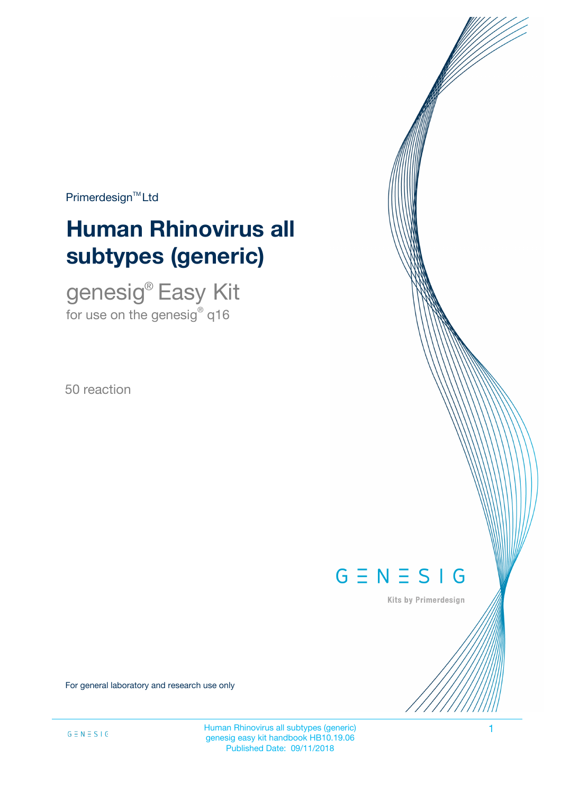Primerdesign<sup>™</sup>Ltd

# **Human Rhinovirus all subtypes (generic)**

genesig® Easy Kit for use on the genesig $^\circ$  q16

50 reaction

# $G \equiv N \equiv S \mid G$

Kits by Primerdesign

For general laboratory and research use only

Human Rhinovirus all subtypes (generic) 1 genesig easy kit handbook HB10.19.06 Published Date: 09/11/2018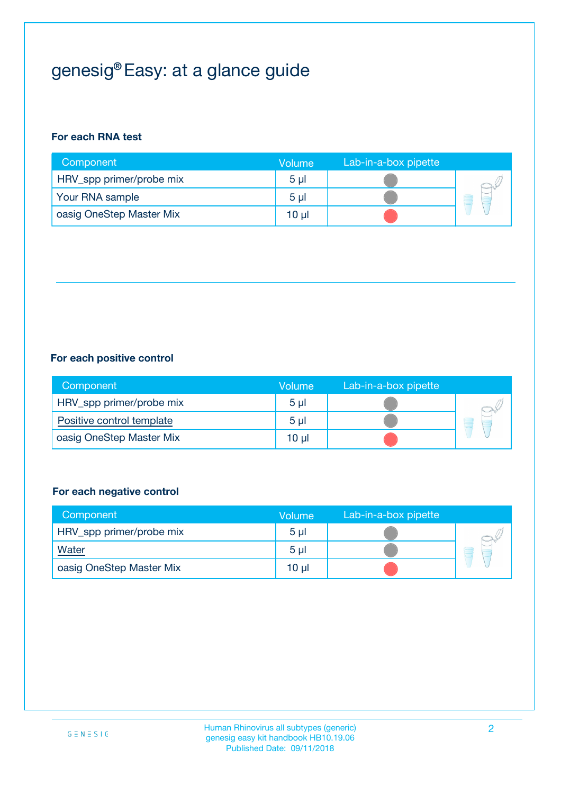## genesig® Easy: at a glance guide

#### **For each RNA test**

| Component                | <b>Volume</b>  | Lab-in-a-box pipette |  |
|--------------------------|----------------|----------------------|--|
| HRV_spp primer/probe mix | 5 <sub>µ</sub> |                      |  |
| Your RNA sample          | 5 <sub>µ</sub> |                      |  |
| oasig OneStep Master Mix | 10 µl          |                      |  |

#### **For each positive control**

| Component                 | Volume         | Lab-in-a-box pipette |  |
|---------------------------|----------------|----------------------|--|
| HRV_spp primer/probe mix  | 5 <sub>µ</sub> |                      |  |
| Positive control template | $5 \mu$        |                      |  |
| oasig OneStep Master Mix  | 10 µl          |                      |  |

#### **For each negative control**

| Component                | <b>Volume</b>  | Lab-in-a-box pipette |   |
|--------------------------|----------------|----------------------|---|
| HRV_spp primer/probe mix | 5 <sub>µ</sub> |                      |   |
| <b>Water</b>             | 5 <sub>µ</sub> |                      | E |
| oasig OneStep Master Mix | $10 \mu$       |                      |   |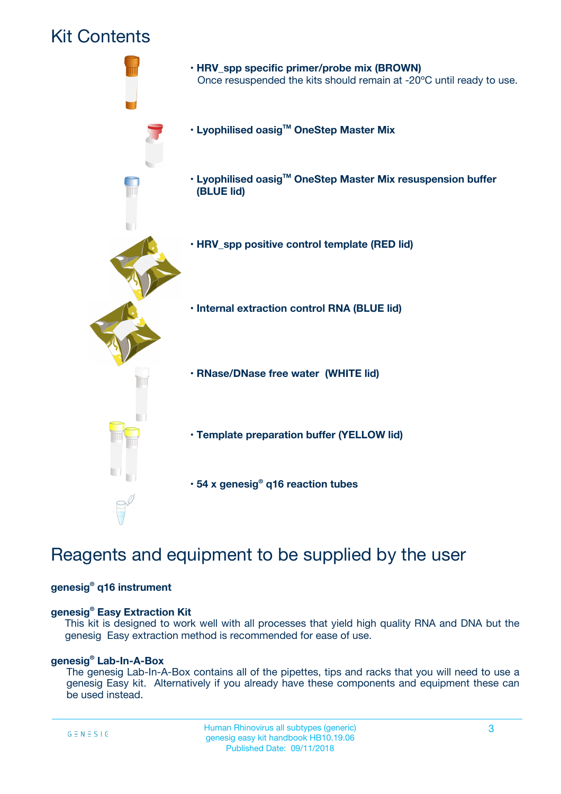### Kit Contents



### Reagents and equipment to be supplied by the user

#### **genesig® q16 instrument**

#### **genesig® Easy Extraction Kit**

This kit is designed to work well with all processes that yield high quality RNA and DNA but the genesig Easy extraction method is recommended for ease of use.

#### **genesig® Lab-In-A-Box**

The genesig Lab-In-A-Box contains all of the pipettes, tips and racks that you will need to use a genesig Easy kit. Alternatively if you already have these components and equipment these can be used instead.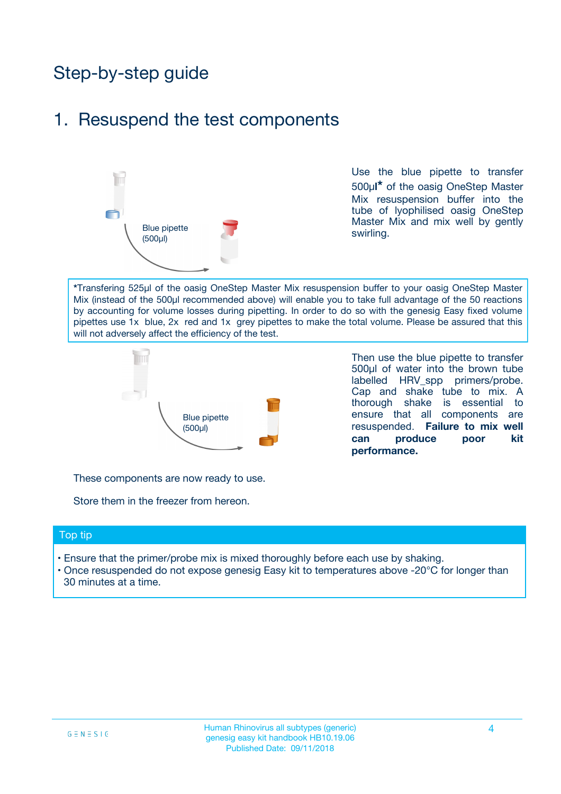## Step-by-step guide

### 1. Resuspend the test components



Use the blue pipette to transfer 500µ**l\*** of the oasig OneStep Master Mix resuspension buffer into the tube of lyophilised oasig OneStep Master Mix and mix well by gently swirling.

**\***Transfering 525µl of the oasig OneStep Master Mix resuspension buffer to your oasig OneStep Master Mix (instead of the 500µl recommended above) will enable you to take full advantage of the 50 reactions by accounting for volume losses during pipetting. In order to do so with the genesig Easy fixed volume pipettes use 1x blue, 2x red and 1x grey pipettes to make the total volume. Please be assured that this will not adversely affect the efficiency of the test.



Then use the blue pipette to transfer 500µl of water into the brown tube labelled HRV spp primers/probe. Cap and shake tube to mix. A thorough shake is essential to ensure that all components are resuspended. **Failure to mix well can produce poor kit performance.**

These components are now ready to use.

Store them in the freezer from hereon.

#### Top tip

- Ensure that the primer/probe mix is mixed thoroughly before each use by shaking.
- Once resuspended do not expose genesig Easy kit to temperatures above -20°C for longer than 30 minutes at a time.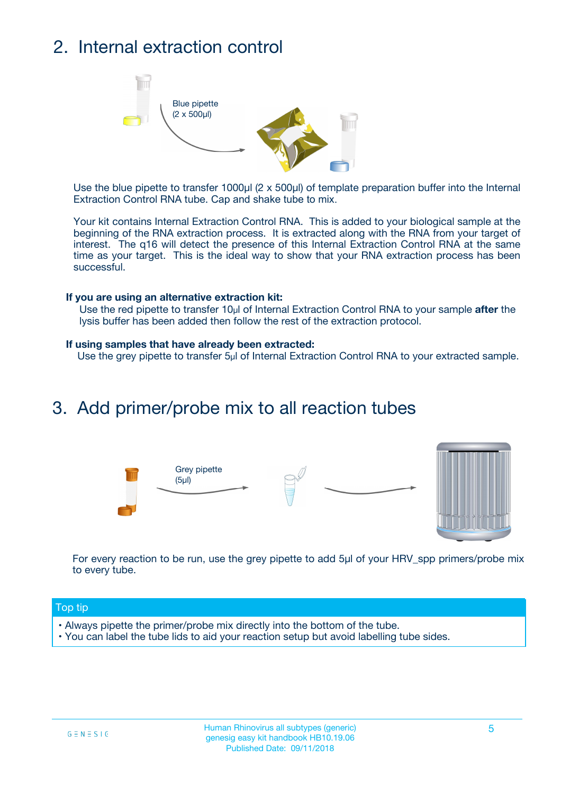## 2. Internal extraction control



Use the blue pipette to transfer 1000µl (2 x 500µl) of template preparation buffer into the Internal Extraction Control RNA tube. Cap and shake tube to mix.

Your kit contains Internal Extraction Control RNA. This is added to your biological sample at the beginning of the RNA extraction process. It is extracted along with the RNA from your target of interest. The q16 will detect the presence of this Internal Extraction Control RNA at the same time as your target. This is the ideal way to show that your RNA extraction process has been successful.

#### **If you are using an alternative extraction kit:**

Use the red pipette to transfer 10µl of Internal Extraction Control RNA to your sample **after** the lysis buffer has been added then follow the rest of the extraction protocol.

#### **If using samples that have already been extracted:**

Use the grey pipette to transfer 5µl of Internal Extraction Control RNA to your extracted sample.

### 3. Add primer/probe mix to all reaction tubes





For every reaction to be run, use the grey pipette to add 5µl of your HRV\_spp primers/probe mix to every tube.

#### Top tip

- Always pipette the primer/probe mix directly into the bottom of the tube.
- You can label the tube lids to aid your reaction setup but avoid labelling tube sides.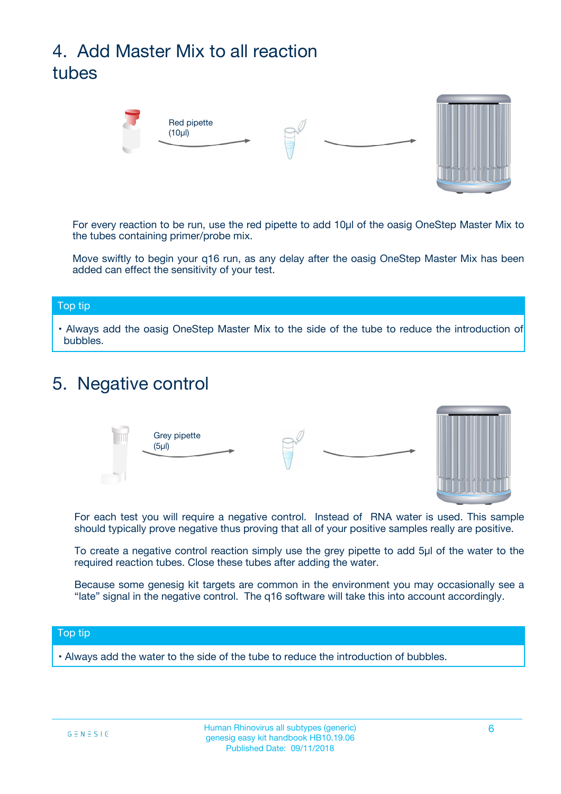## 4. Add Master Mix to all reaction tubes



For every reaction to be run, use the red pipette to add 10µl of the oasig OneStep Master Mix to the tubes containing primer/probe mix.

Move swiftly to begin your q16 run, as any delay after the oasig OneStep Master Mix has been added can effect the sensitivity of your test.

#### Top tip

**•** Always add the oasig OneStep Master Mix to the side of the tube to reduce the introduction of bubbles.

### 5. Negative control



For each test you will require a negative control. Instead of RNA water is used. This sample should typically prove negative thus proving that all of your positive samples really are positive.

To create a negative control reaction simply use the grey pipette to add 5µl of the water to the required reaction tubes. Close these tubes after adding the water.

Because some genesig kit targets are common in the environment you may occasionally see a "late" signal in the negative control. The q16 software will take this into account accordingly.

#### Top tip

**•** Always add the water to the side of the tube to reduce the introduction of bubbles.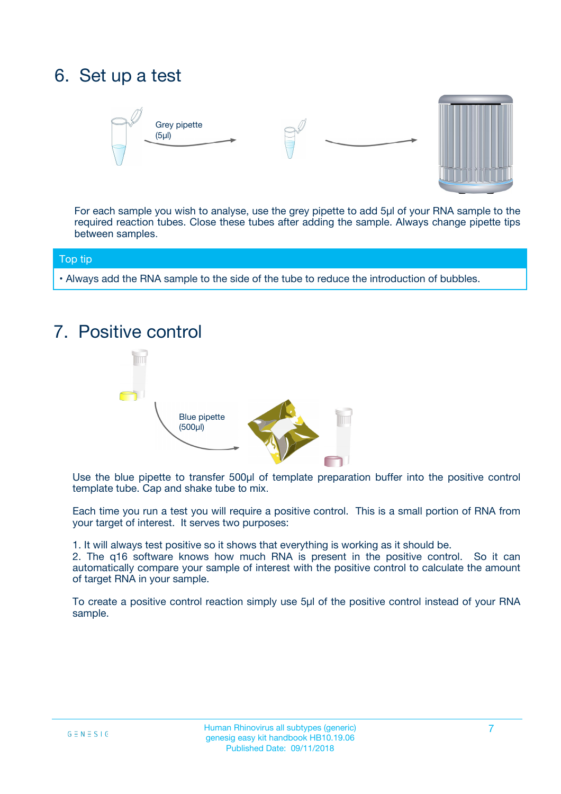### 6. Set up a test





For each sample you wish to analyse, use the grey pipette to add 5µl of your RNA sample to the required reaction tubes. Close these tubes after adding the sample. Always change pipette tips between samples.

#### Top tip

**•** Always add the RNA sample to the side of the tube to reduce the introduction of bubbles.

### 7. Positive control



Use the blue pipette to transfer 500µl of template preparation buffer into the positive control template tube. Cap and shake tube to mix.

Each time you run a test you will require a positive control. This is a small portion of RNA from your target of interest. It serves two purposes:

1. It will always test positive so it shows that everything is working as it should be.

2. The q16 software knows how much RNA is present in the positive control. So it can automatically compare your sample of interest with the positive control to calculate the amount of target RNA in your sample.

To create a positive control reaction simply use 5µl of the positive control instead of your RNA sample.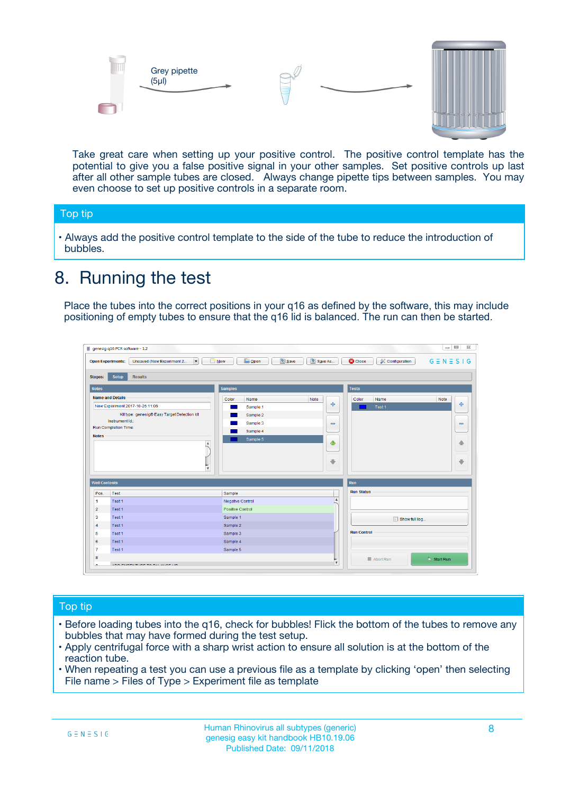



Take great care when setting up your positive control. The positive control template has the potential to give you a false positive signal in your other samples. Set positive controls up last after all other sample tubes are closed. Always change pipette tips between samples. You may even choose to set up positive controls in a separate room.

#### Top tip

**•** Always add the positive control template to the side of the tube to reduce the introduction of bubbles.

### 8. Running the test

Place the tubes into the correct positions in your q16 as defined by the software, this may include positioning of empty tubes to ensure that the q16 lid is balanced. The run can then be started.

|                                                | genesig q16 PCR software - 1.2<br><b>Open Experiments:</b><br>Unsaved (New Experiment 2<br>$\overline{\phantom{a}}$                                                                                  | <b>E</b> Open<br><b>Save</b><br>Save As<br>$\sqrt{2}$ New                                                                | $\Box$<br>$\Sigma\!3$<br>$G \equiv N \equiv S \mid G$<br><b>C</b> Close<br><b>&amp; Configuration</b> |
|------------------------------------------------|------------------------------------------------------------------------------------------------------------------------------------------------------------------------------------------------------|--------------------------------------------------------------------------------------------------------------------------|-------------------------------------------------------------------------------------------------------|
| <b>Stages:</b><br><b>Notes</b>                 | Setup<br><b>Results</b>                                                                                                                                                                              | <b>Samples</b>                                                                                                           | <b>Tests</b>                                                                                          |
| <b>Notes</b>                                   | <b>Name and Details</b><br>New Experiment 2017-10-26 11:06<br>Kit type: genesig® Easy Target Detection kit<br>Instrument Id.:<br>Run Completion Time:<br>$\blacktriangle$<br>$\overline{\mathbf{v}}$ | Color<br>Name<br>Note<br>على<br>Sample 1<br>Sample 2<br>Sample 3<br>$\equiv$<br>Sample 4<br>Sample 5<br>$\bigoplus$<br>÷ | Color<br>Name<br>Note<br>÷<br>Test 1<br>$\equiv$<br>41<br>⊕                                           |
| <b>Well Contents</b>                           |                                                                                                                                                                                                      |                                                                                                                          | Run                                                                                                   |
| Pos.<br>$\blacktriangleleft$<br>$\overline{2}$ | Test<br>Test 1<br>Test 1                                                                                                                                                                             | Sample<br>Negative Control<br>Positive Control                                                                           | <b>Run Status</b><br>$\blacktriangle$                                                                 |
| 3<br>$\overline{4}$                            | Test 1<br>Test 1                                                                                                                                                                                     | Sample 1<br>Sample 2                                                                                                     | Show full log                                                                                         |
| 5<br>6<br>$\overline{7}$                       | Test 1<br>Test <sub>1</sub><br>Test 1                                                                                                                                                                | Sample 3<br>Sample 4<br>Sample 5                                                                                         | <b>Run Control</b>                                                                                    |
| 8<br>∽                                         | <b>JOD FURTY TUDE TO BALAMOE UP.</b>                                                                                                                                                                 |                                                                                                                          | $\triangleright$ Start Run<br>■ Abort Run<br>$\boldsymbol{\mathrm{v}}$                                |

#### Top tip

- Before loading tubes into the q16, check for bubbles! Flick the bottom of the tubes to remove any bubbles that may have formed during the test setup.
- Apply centrifugal force with a sharp wrist action to ensure all solution is at the bottom of the reaction tube.
- When repeating a test you can use a previous file as a template by clicking 'open' then selecting File name > Files of Type > Experiment file as template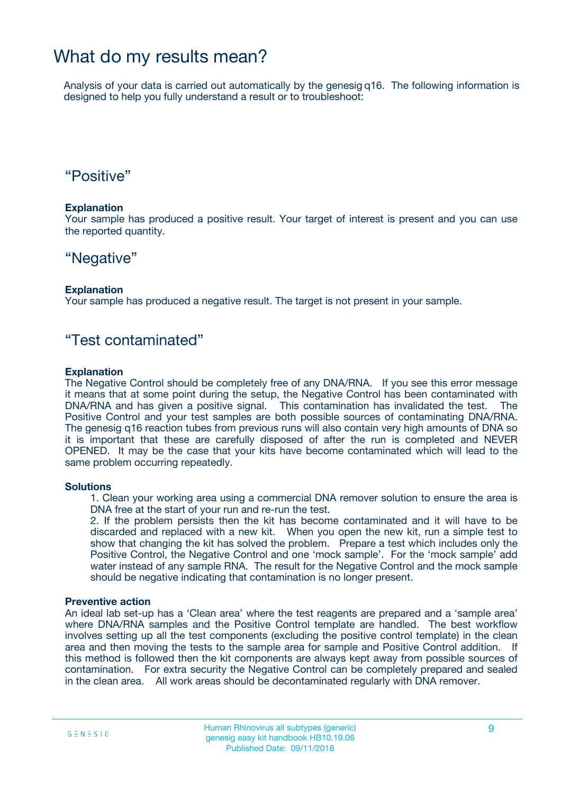### What do my results mean?

Analysis of your data is carried out automatically by the genesig q16. The following information is designed to help you fully understand a result or to troubleshoot:

### "Positive"

#### **Explanation**

Your sample has produced a positive result. Your target of interest is present and you can use the reported quantity.

### "Negative"

#### **Explanation**

Your sample has produced a negative result. The target is not present in your sample.

### "Test contaminated"

#### **Explanation**

The Negative Control should be completely free of any DNA/RNA. If you see this error message it means that at some point during the setup, the Negative Control has been contaminated with DNA/RNA and has given a positive signal. This contamination has invalidated the test. The Positive Control and your test samples are both possible sources of contaminating DNA/RNA. The genesig q16 reaction tubes from previous runs will also contain very high amounts of DNA so it is important that these are carefully disposed of after the run is completed and NEVER OPENED. It may be the case that your kits have become contaminated which will lead to the same problem occurring repeatedly.

#### **Solutions**

1. Clean your working area using a commercial DNA remover solution to ensure the area is DNA free at the start of your run and re-run the test.

2. If the problem persists then the kit has become contaminated and it will have to be discarded and replaced with a new kit. When you open the new kit, run a simple test to show that changing the kit has solved the problem. Prepare a test which includes only the Positive Control, the Negative Control and one 'mock sample'. For the 'mock sample' add water instead of any sample RNA. The result for the Negative Control and the mock sample should be negative indicating that contamination is no longer present.

#### **Preventive action**

An ideal lab set-up has a 'Clean area' where the test reagents are prepared and a 'sample area' where DNA/RNA samples and the Positive Control template are handled. The best workflow involves setting up all the test components (excluding the positive control template) in the clean area and then moving the tests to the sample area for sample and Positive Control addition. If this method is followed then the kit components are always kept away from possible sources of contamination. For extra security the Negative Control can be completely prepared and sealed in the clean area. All work areas should be decontaminated regularly with DNA remover.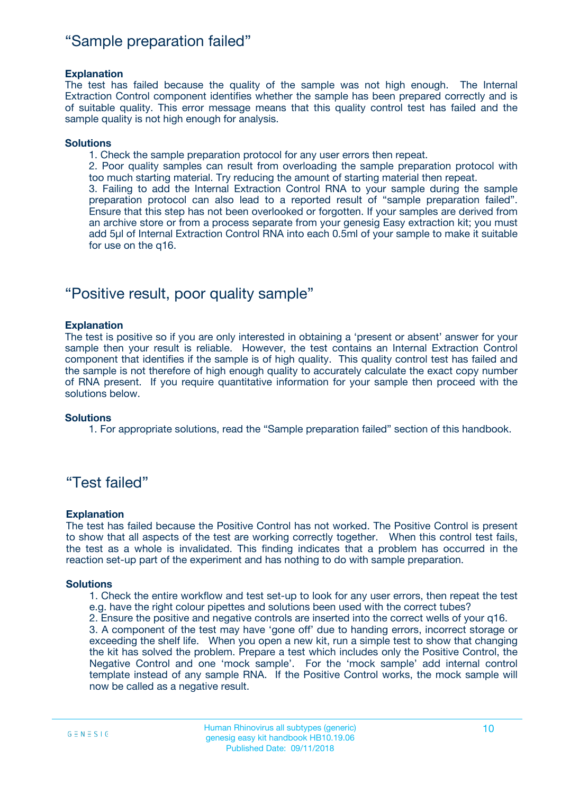### "Sample preparation failed"

#### **Explanation**

The test has failed because the quality of the sample was not high enough. The Internal Extraction Control component identifies whether the sample has been prepared correctly and is of suitable quality. This error message means that this quality control test has failed and the sample quality is not high enough for analysis.

#### **Solutions**

1. Check the sample preparation protocol for any user errors then repeat.

2. Poor quality samples can result from overloading the sample preparation protocol with too much starting material. Try reducing the amount of starting material then repeat.

3. Failing to add the Internal Extraction Control RNA to your sample during the sample preparation protocol can also lead to a reported result of "sample preparation failed". Ensure that this step has not been overlooked or forgotten. If your samples are derived from an archive store or from a process separate from your genesig Easy extraction kit; you must add 5µl of Internal Extraction Control RNA into each 0.5ml of your sample to make it suitable for use on the q16.

### "Positive result, poor quality sample"

#### **Explanation**

The test is positive so if you are only interested in obtaining a 'present or absent' answer for your sample then your result is reliable. However, the test contains an Internal Extraction Control component that identifies if the sample is of high quality. This quality control test has failed and the sample is not therefore of high enough quality to accurately calculate the exact copy number of RNA present. If you require quantitative information for your sample then proceed with the solutions below.

#### **Solutions**

1. For appropriate solutions, read the "Sample preparation failed" section of this handbook.

### "Test failed"

#### **Explanation**

The test has failed because the Positive Control has not worked. The Positive Control is present to show that all aspects of the test are working correctly together. When this control test fails, the test as a whole is invalidated. This finding indicates that a problem has occurred in the reaction set-up part of the experiment and has nothing to do with sample preparation.

#### **Solutions**

1. Check the entire workflow and test set-up to look for any user errors, then repeat the test e.g. have the right colour pipettes and solutions been used with the correct tubes?

2. Ensure the positive and negative controls are inserted into the correct wells of your q16.

3. A component of the test may have 'gone off' due to handing errors, incorrect storage or exceeding the shelf life. When you open a new kit, run a simple test to show that changing the kit has solved the problem. Prepare a test which includes only the Positive Control, the Negative Control and one 'mock sample'. For the 'mock sample' add internal control template instead of any sample RNA. If the Positive Control works, the mock sample will now be called as a negative result.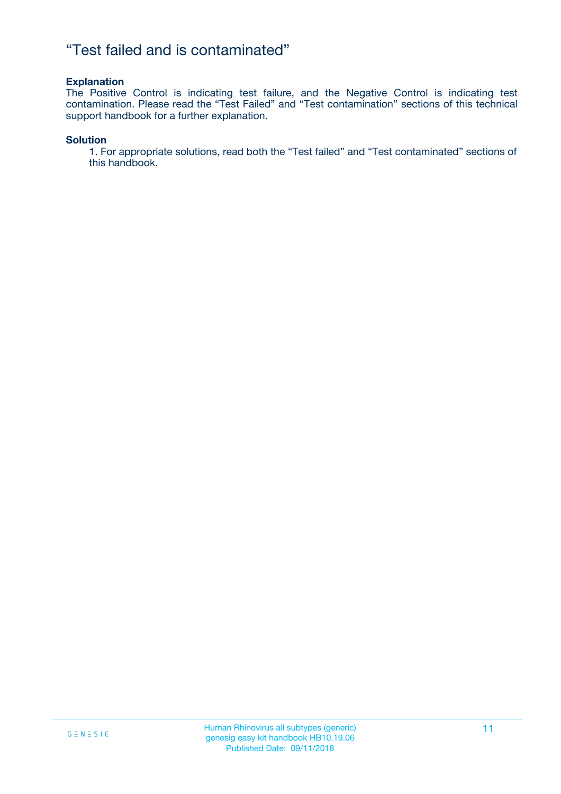### "Test failed and is contaminated"

#### **Explanation**

The Positive Control is indicating test failure, and the Negative Control is indicating test contamination. Please read the "Test Failed" and "Test contamination" sections of this technical support handbook for a further explanation.

#### **Solution**

1. For appropriate solutions, read both the "Test failed" and "Test contaminated" sections of this handbook.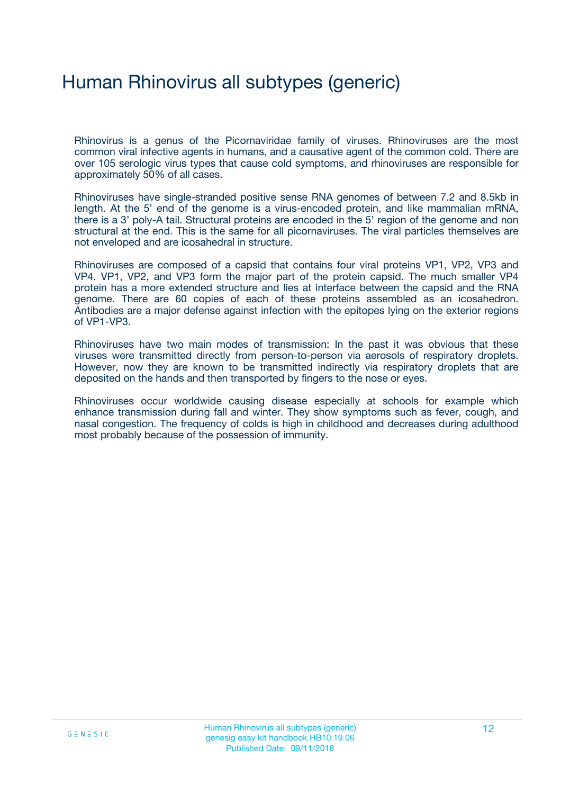## Human Rhinovirus all subtypes (generic)

Rhinovirus is a genus of the Picornaviridae family of viruses. Rhinoviruses are the most common viral infective agents in humans, and a causative agent of the common cold. There are over 105 serologic virus types that cause cold symptoms, and rhinoviruses are responsible for approximately 50% of all cases.

Rhinoviruses have single-stranded positive sense RNA genomes of between 7.2 and 8.5kb in length. At the 5' end of the genome is a virus-encoded protein, and like mammalian mRNA, there is a 3' poly-A tail. Structural proteins are encoded in the 5' region of the genome and non structural at the end. This is the same for all picornaviruses. The viral particles themselves are not enveloped and are icosahedral in structure.

Rhinoviruses are composed of a capsid that contains four viral proteins VP1, VP2, VP3 and VP4. VP1, VP2, and VP3 form the major part of the protein capsid. The much smaller VP4 protein has a more extended structure and lies at interface between the capsid and the RNA genome. There are 60 copies of each of these proteins assembled as an icosahedron. Antibodies are a major defense against infection with the epitopes lying on the exterior regions of VP1-VP3.

Rhinoviruses have two main modes of transmission: In the past it was obvious that these viruses were transmitted directly from person-to-person via aerosols of respiratory droplets. However, now they are known to be transmitted indirectly via respiratory droplets that are deposited on the hands and then transported by fingers to the nose or eyes.

Rhinoviruses occur worldwide causing disease especially at schools for example which enhance transmission during fall and winter. They show symptoms such as fever, cough, and nasal congestion. The frequency of colds is high in childhood and decreases during adulthood most probably because of the possession of immunity.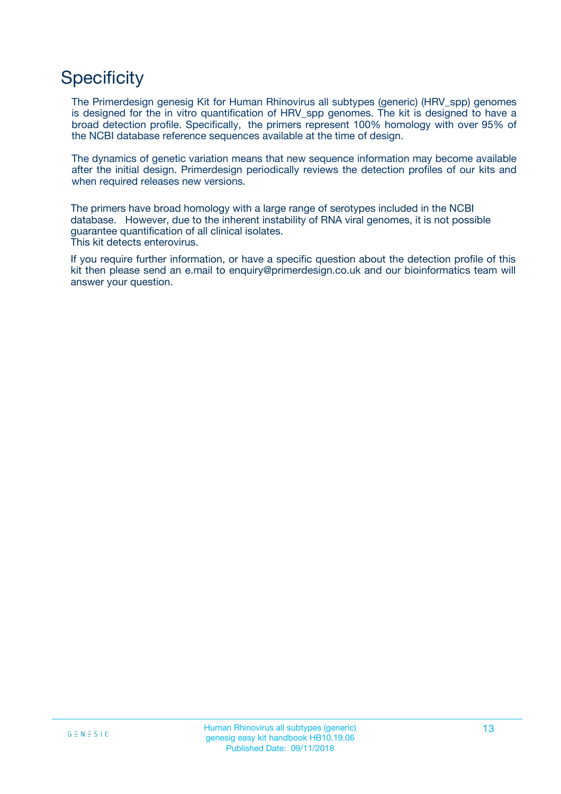### **Specificity**

The Primerdesign genesig Kit for Human Rhinovirus all subtypes (generic) (HRV\_spp) genomes is designed for the in vitro quantification of HRV spp genomes. The kit is designed to have a broad detection profile. Specifically, the primers represent 100% homology with over 95% of the NCBI database reference sequences available at the time of design.

The dynamics of genetic variation means that new sequence information may become available after the initial design. Primerdesign periodically reviews the detection profiles of our kits and when required releases new versions.

The primers have broad homology with a large range of serotypes included in the NCBI database. However, due to the inherent instability of RNA viral genomes, it is not possible guarantee quantification of all clinical isolates. This kit detects enterovirus.

If you require further information, or have a specific question about the detection profile of this kit then please send an e.mail to enquiry@primerdesign.co.uk and our bioinformatics team will answer your question.